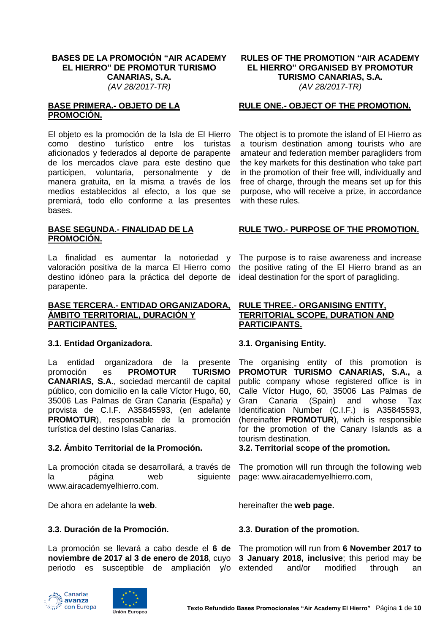### **BASES DE LA PROMOCIÓN "AIR ACADEMY EL HIERRO" DE PROMOTUR TURISMO CANARIAS, S.A.** *(AV 28/2017-TR)*

### **BASE PRIMERA.- OBJETO DE LA PROMOCIÓN.**

El objeto es la promoción de la Isla de El Hierro como destino turístico entre los turistas aficionados y federados al deporte de parapente de los mercados clave para este destino que participen, voluntaria, personalmente y de manera gratuita, en la misma a través de los medios establecidos al efecto, a los que se premiará, todo ello conforme a las presentes bases.

### **BASE SEGUNDA.- FINALIDAD DE LA PROMOCIÓN.**

La finalidad es aumentar la notoriedad y valoración positiva de la marca El Hierro como destino idóneo para la práctica del deporte de parapente.

### **BASE TERCERA.- ENTIDAD ORGANIZADORA, ÁMBITO TERRITORIAL, DURACIÓN Y PARTICIPANTES.**

## **3.1. Entidad Organizadora. 3.1. Organising Entity.**

La entidad organizadora de la presente promoción es **PROMOTUR TURISMO CANARIAS, S.A.**, sociedad mercantil de capital público, con domicilio en la calle Víctor Hugo, 60, 35006 Las Palmas de Gran Canaria (España) y provista de C.I.F. A35845593, (en adelante **PROMOTUR**), responsable de la promoción turística del destino Islas Canarias.

## **3.2. Ámbito Territorial de la Promoción. 3.2. Territorial scope of the promotion.**

La promoción citada se desarrollará, a través de la página web siguiente www.airacademyelhierro.com.

De ahora en adelante la **web**. hereinafter the **web page.** 

## **3.3. Duración de la Promoción. 3.3. Duration of the promotion.**

La promoción se llevará a cabo desde el **6 de noviembre de 2017 al 3 de enero de 2018**, cuyo periodo es susceptible de ampliación y/o extended and/or modified through an The promotion will run from **6 November 2017 to 3 January 2018, inclusive**; this period may be





### **RULES OF THE PROMOTION "AIR ACADEMY EL HIERRO" ORGANISED BY PROMOTUR TURISMO CANARIAS, S.A.** *(AV 28/2017-TR)*

# **RULE ONE.- OBJECT OF THE PROMOTION.**

The object is to promote the island of El Hierro as a tourism destination among tourists who are amateur and federation member paragliders from the key markets for this destination who take part in the promotion of their free will, individually and free of charge, through the means set up for this purpose, who will receive a prize, in accordance with these rules.

# **RULE TWO.- PURPOSE OF THE PROMOTION.**

The purpose is to raise awareness and increase the positive rating of the El Hierro brand as an ideal destination for the sport of paragliding.

## **RULE THREE.- ORGANISING ENTITY, TERRITORIAL SCOPE, DURATION AND PARTICIPANTS.**

The organising entity of this promotion is **PROMOTUR TURISMO CANARIAS, S.A.,** a public company whose registered office is in Calle Víctor Hugo, 60, 35006 Las Palmas de Gran Canaria (Spain) and whose Tax Identification Number (C.I.F.) is A35845593, (hereinafter **PROMOTUR**), which is responsible for the promotion of the Canary Islands as a tourism destination.

The promotion will run through the following web page: www.airacademyelhierro.com,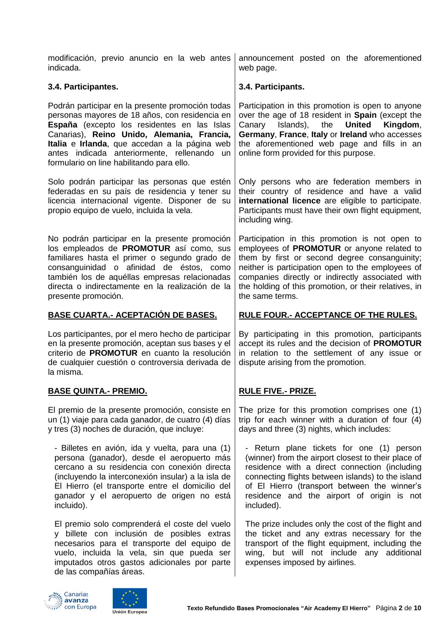| modificación, previo anuncio en la web antes<br>indicada.                                                                                                                                                                                                                                                                                    | announcement posted on the aforementioned<br>web page.                                                                                                                                                                                                                                                                             |
|----------------------------------------------------------------------------------------------------------------------------------------------------------------------------------------------------------------------------------------------------------------------------------------------------------------------------------------------|------------------------------------------------------------------------------------------------------------------------------------------------------------------------------------------------------------------------------------------------------------------------------------------------------------------------------------|
| 3.4. Participantes.                                                                                                                                                                                                                                                                                                                          | 3.4. Participants.                                                                                                                                                                                                                                                                                                                 |
| Podrán participar en la presente promoción todas<br>personas mayores de 18 años, con residencia en<br>España (excepto los residentes en las Islas<br>Canarias), Reino Unido, Alemania, Francia,<br>Italia e Irlanda, que accedan a la página web<br>antes indicada anteriormente, rellenando un<br>formulario on line habilitando para ello. | Participation in this promotion is open to anyone<br>over the age of 18 resident in Spain (except the<br>Islands), the<br><b>United</b><br>Canary<br>Kingdom,<br>Germany, France, Italy or Ireland who accesses<br>the aforementioned web page and fills in an<br>online form provided for this purpose.                           |
| Solo podrán participar las personas que estén<br>federadas en su país de residencia y tener su<br>licencia internacional vigente. Disponer de su<br>propio equipo de vuelo, incluida la vela.                                                                                                                                                | Only persons who are federation members in<br>their country of residence and have a valid<br>international licence are eligible to participate.<br>Participants must have their own flight equipment,<br>including wing.                                                                                                           |
| No podrán participar en la presente promoción<br>los empleados de PROMOTUR así como, sus<br>familiares hasta el primer o segundo grado de<br>consanguinidad o afinidad de éstos, como<br>también los de aquéllas empresas relacionadas<br>directa o indirectamente en la realización de la<br>presente promoción.                            | Participation in this promotion is not open to<br>employees of PROMOTUR or anyone related to<br>them by first or second degree consanguinity;<br>neither is participation open to the employees of<br>companies directly or indirectly associated with<br>the holding of this promotion, or their relatives, in<br>the same terms. |
| <u>BASE CUARTA.- ACEPTACIÓN DE BASES.</u>                                                                                                                                                                                                                                                                                                    | <b>RULE FOUR.- ACCEPTANCE OF THE RULES.</b>                                                                                                                                                                                                                                                                                        |
| Los participantes, por el mero hecho de participar<br>en la presente promoción, aceptan sus bases y el<br>criterio de PROMOTUR en cuanto la resolución<br>de cualquier cuestión o controversia derivada de<br>la misma.                                                                                                                      | By participating in this promotion, participants<br>accept its rules and the decision of PROMOTUR<br>in relation to the settlement of any issue or<br>dispute arising from the promotion.                                                                                                                                          |
| <u>BASE QUINTA.- PREMIO.</u>                                                                                                                                                                                                                                                                                                                 | <b>RULE FIVE.- PRIZE.</b>                                                                                                                                                                                                                                                                                                          |
| El premio de la presente promoción, consiste en<br>un (1) viaje para cada ganador, de cuatro (4) días<br>y tres (3) noches de duración, que incluye:                                                                                                                                                                                         | The prize for this promotion comprises one (1)<br>trip for each winner with a duration of four (4)<br>days and three (3) nights, which includes:                                                                                                                                                                                   |
| - Billetes en avión, ida y vuelta, para una (1)<br>persona (ganador), desde el aeropuerto más<br>cercano a su residencia con conexión directa<br>(incluyendo la interconexión insular) a la isla de<br>El Hierro (el transporte entre el domicilio del<br>ganador y el aeropuerto de origen no está<br>incluido).                            | - Return plane tickets for one (1) person<br>(winner) from the airport closest to their place of<br>residence with a direct connection (including<br>connecting flights between islands) to the island<br>of El Hierro (transport between the winner's<br>residence and the airport of origin is not<br>included).                 |
| El premio solo comprenderá el coste del vuelo<br>y billete con inclusión de posibles extras<br>necesarios para el transporte del equipo de<br>vuelo, incluida la vela, sin que pueda ser<br>imputados otros gastos adicionales por parte<br>de las compañías áreas.                                                                          | The prize includes only the cost of the flight and<br>the ticket and any extras necessary for the<br>transport of the flight equipment, including the<br>wing, but will not include any additional<br>expenses imposed by airlines.                                                                                                |



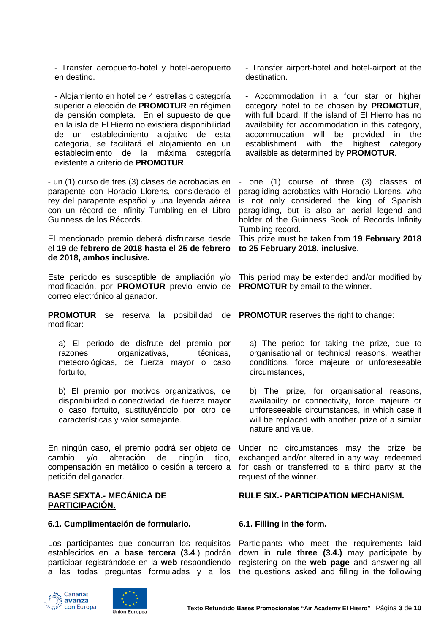| - Transfer aeropuerto-hotel y hotel-aeropuerto<br>en destino.                                                                                                                                                                                                                                                                                                                                             | - Transfer airport-hotel and hotel-airport at the<br>destination.                                                                                                                                                                                                                                                                                       |
|-----------------------------------------------------------------------------------------------------------------------------------------------------------------------------------------------------------------------------------------------------------------------------------------------------------------------------------------------------------------------------------------------------------|---------------------------------------------------------------------------------------------------------------------------------------------------------------------------------------------------------------------------------------------------------------------------------------------------------------------------------------------------------|
| - Alojamiento en hotel de 4 estrellas o categoría<br>superior a elección de PROMOTUR en régimen<br>de pensión completa. En el supuesto de que<br>en la isla de El Hierro no existiera disponibilidad<br>establecimiento<br>alojativo de esta<br>de<br>un<br>categoría, se facilitará el alojamiento en un<br>establecimiento<br>de la<br>máxima<br>categoría<br>existente a criterio de <b>PROMOTUR</b> . | - Accommodation in a four star or higher<br>category hotel to be chosen by PROMOTUR,<br>with full board. If the island of El Hierro has no<br>availability for accommodation in this category,<br>will<br>the<br>accommodation<br>provided<br>be<br>in<br>with<br>the<br>highest<br>establishment<br>category<br>available as determined by PROMOTUR.   |
| - un (1) curso de tres (3) clases de acrobacias en<br>parapente con Horacio Llorens, considerado el<br>rey del parapente español y una leyenda aérea<br>con un récord de Infinity Tumbling en el Libro<br>Guinness de los Récords.<br>El mencionado premio deberá disfrutarse desde<br>el 19 de febrero de 2018 hasta el 25 de febrero<br>de 2018, ambos inclusive.                                       | - one (1) course of three (3) classes of<br>paragliding acrobatics with Horacio Llorens, who<br>is not only considered the king of Spanish<br>paragliding, but is also an aerial legend and<br>holder of the Guinness Book of Records Infinity<br>Tumbling record.<br>This prize must be taken from 19 February 2018<br>to 25 February 2018, inclusive. |
| Este periodo es susceptible de ampliación y/o<br>modificación, por PROMOTUR previo envío de<br>correo electrónico al ganador.                                                                                                                                                                                                                                                                             | This period may be extended and/or modified by<br><b>PROMOTUR</b> by email to the winner.                                                                                                                                                                                                                                                               |
| <b>PROMOTUR</b><br>reserva la posibilidad<br>se<br>de<br>modificar:                                                                                                                                                                                                                                                                                                                                       | <b>PROMOTUR</b> reserves the right to change:                                                                                                                                                                                                                                                                                                           |
| a) El periodo de disfrute del premio por<br>organizativas,<br>técnicas,<br>razones<br>meteorológicas, de fuerza mayor o caso<br>fortuito,                                                                                                                                                                                                                                                                 | a) The period for taking the prize, due to<br>organisational or technical reasons, weather<br>conditions, force majeure or unforeseeable<br>circumstances,                                                                                                                                                                                              |
| b) El premio por motivos organizativos, de<br>disponibilidad o conectividad, de fuerza mayor<br>o caso fortuito, sustituyéndolo por otro de<br>características y valor semejante.                                                                                                                                                                                                                         | b) The prize, for organisational reasons,<br>availability or connectivity, force majeure or<br>unforeseeable circumstances, in which case it<br>will be replaced with another prize of a similar<br>nature and value.                                                                                                                                   |
| En ningún caso, el premio podrá ser objeto de<br>cambio<br>alteración<br>de<br>ningún<br>y/o<br>tipo,<br>compensación en metálico o cesión a tercero a<br>petición del ganador.                                                                                                                                                                                                                           | Under no circumstances may the prize be<br>exchanged and/or altered in any way, redeemed<br>for cash or transferred to a third party at the<br>request of the winner.                                                                                                                                                                                   |
| <b>BASE SEXTA.- MECÁNICA DE</b><br>PARTICIPACIÓN.                                                                                                                                                                                                                                                                                                                                                         | RULE SIX.- PARTICIPATION MECHANISM.                                                                                                                                                                                                                                                                                                                     |
| 6.1. Cumplimentación de formulario.                                                                                                                                                                                                                                                                                                                                                                       | 6.1. Filling in the form.                                                                                                                                                                                                                                                                                                                               |
| Los participantes que concurran los requisitos<br>establecidos en la base tercera (3.4.) podrán<br>participar registrándose en la web respondiendo<br>a las todas preguntas formuladas y a los                                                                                                                                                                                                            | Participants who meet the requirements laid<br>down in rule three (3.4.) may participate by<br>registering on the web page and answering all<br>the questions asked and filling in the following                                                                                                                                                        |



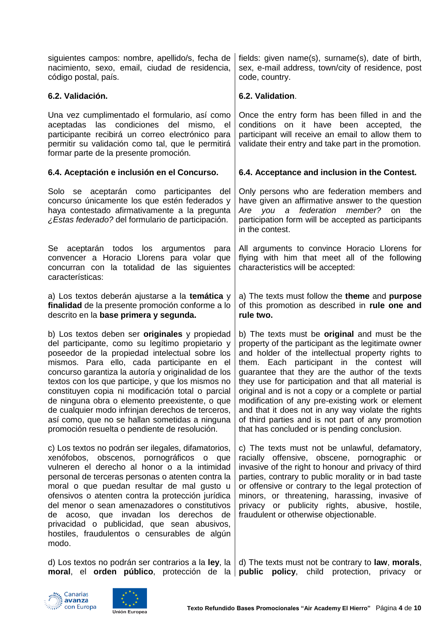| siguientes campos: nombre, apellido/s, fecha de<br>nacimiento, sexo, email, ciudad de residencia,<br>código postal, país.                                                                                                                                                                                                                                                                                                                                                                                                                                                            | fields: given name(s), surname(s), date of birth,<br>sex, e-mail address, town/city of residence, post<br>code, country.                                                                                                                                                                                                                                                                                                                                                                                                                                                                       |
|--------------------------------------------------------------------------------------------------------------------------------------------------------------------------------------------------------------------------------------------------------------------------------------------------------------------------------------------------------------------------------------------------------------------------------------------------------------------------------------------------------------------------------------------------------------------------------------|------------------------------------------------------------------------------------------------------------------------------------------------------------------------------------------------------------------------------------------------------------------------------------------------------------------------------------------------------------------------------------------------------------------------------------------------------------------------------------------------------------------------------------------------------------------------------------------------|
| 6.2. Validación.                                                                                                                                                                                                                                                                                                                                                                                                                                                                                                                                                                     | 6.2. Validation.                                                                                                                                                                                                                                                                                                                                                                                                                                                                                                                                                                               |
| Una vez cumplimentado el formulario, así como<br>aceptadas las condiciones<br>del<br>mismo, el<br>participante recibirá un correo electrónico para<br>permitir su validación como tal, que le permitirá<br>formar parte de la presente promoción.                                                                                                                                                                                                                                                                                                                                    | Once the entry form has been filled in and the<br>conditions on it have<br>been accepted, the<br>participant will receive an email to allow them to<br>validate their entry and take part in the promotion.                                                                                                                                                                                                                                                                                                                                                                                    |
| 6.4. Aceptación e inclusión en el Concurso.                                                                                                                                                                                                                                                                                                                                                                                                                                                                                                                                          | 6.4. Acceptance and inclusion in the Contest.                                                                                                                                                                                                                                                                                                                                                                                                                                                                                                                                                  |
| Solo se aceptarán como participantes del<br>concurso únicamente los que estén federados y<br>haya contestado afirmativamente a la pregunta<br>¿Estas federado? del formulario de participación.                                                                                                                                                                                                                                                                                                                                                                                      | Only persons who are federation members and<br>have given an affirmative answer to the question<br>Are you a federation member?<br>on<br>the<br>participation form will be accepted as participants<br>in the contest.                                                                                                                                                                                                                                                                                                                                                                         |
| Se aceptarán todos los argumentos para<br>convencer a Horacio Llorens para volar que<br>concurran con la totalidad de las siguientes<br>características:                                                                                                                                                                                                                                                                                                                                                                                                                             | All arguments to convince Horacio Llorens for<br>flying with him that meet all of the following<br>characteristics will be accepted:                                                                                                                                                                                                                                                                                                                                                                                                                                                           |
| a) Los textos deberán ajustarse a la temática y<br>finalidad de la presente promoción conforme a lo<br>descrito en la base primera y segunda.                                                                                                                                                                                                                                                                                                                                                                                                                                        | a) The texts must follow the theme and purpose<br>of this promotion as described in rule one and<br>rule two.                                                                                                                                                                                                                                                                                                                                                                                                                                                                                  |
| b) Los textos deben ser <b>originales</b> y propiedad<br>del participante, como su legítimo propietario y<br>poseedor de la propiedad intelectual sobre los<br>mismos. Para ello, cada participante en el<br>concurso garantiza la autoría y originalidad de los<br>textos con los que participe, y que los mismos no<br>constituyen copia ni modificación total o parcial<br>de ninguna obra o elemento preexistente, o que<br>de cualquier modo infrinjan derechos de terceros,<br>así como, que no se hallan sometidas a ninguna<br>promoción resuelta o pendiente de resolución. | b) The texts must be <b>original</b> and must be the<br>property of the participant as the legitimate owner<br>and holder of the intellectual property rights to<br>them. Each participant in the contest will<br>guarantee that they are the author of the texts<br>they use for participation and that all material is<br>original and is not a copy or a complete or partial<br>modification of any pre-existing work or element<br>and that it does not in any way violate the rights<br>of third parties and is not part of any promotion<br>that has concluded or is pending conclusion. |
| c) Los textos no podrán ser ilegales, difamatorios,<br>xenófobos, obscenos, pornográficos o que<br>vulneren el derecho al honor o a la intimidad<br>personal de terceras personas o atenten contra la<br>moral o que puedan resultar de mal gusto u<br>ofensivos o atenten contra la protección jurídica<br>del menor o sean amenazadores o constitutivos<br>de acoso, que invadan los derechos de<br>privacidad o publicidad, que sean abusivos,<br>hostiles, fraudulentos o censurables de algún<br>modo.                                                                          | c) The texts must not be unlawful, defamatory,<br>racially offensive, obscene, pornographic or<br>invasive of the right to honour and privacy of third<br>parties, contrary to public morality or in bad taste<br>or offensive or contrary to the legal protection of<br>minors, or threatening, harassing, invasive of<br>privacy or publicity rights, abusive, hostile,<br>fraudulent or otherwise objectionable.                                                                                                                                                                            |
|                                                                                                                                                                                                                                                                                                                                                                                                                                                                                                                                                                                      | d) Los textos no podrán ser contrarios a la ley, la $  d$ ) The texts must not be contrary to law, morals,                                                                                                                                                                                                                                                                                                                                                                                                                                                                                     |





**moral**, el **orden público**, protección de la

**public policy**, child protection, privacy or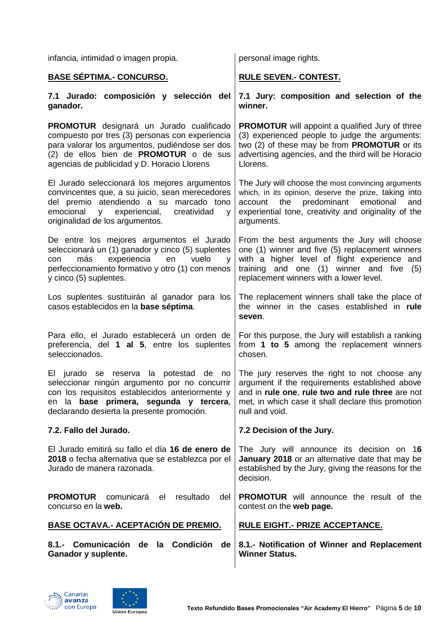| infancia, intimidad o imagen propia.                                                                                                                                                                                                             | personal image rights.                                                                                                                                                                                                                 |
|--------------------------------------------------------------------------------------------------------------------------------------------------------------------------------------------------------------------------------------------------|----------------------------------------------------------------------------------------------------------------------------------------------------------------------------------------------------------------------------------------|
| <u>BASE SÉPTIMA.- CONCURSO.</u>                                                                                                                                                                                                                  | <b>RULE SEVEN.- CONTEST.</b>                                                                                                                                                                                                           |
| 7.1 Jurado: composición y selección del<br>ganador.                                                                                                                                                                                              | 7.1 Jury: composition and selection of the<br>winner.                                                                                                                                                                                  |
| <b>PROMOTUR</b> designará un Jurado cualificado<br>compuesto por tres (3) personas con experiencia<br>para valorar los argumentos, pudiéndose ser dos<br>(2) de ellos bien de PROMOTUR o de sus<br>agencias de publicidad y D. Horacio Llorens   | <b>PROMOTUR</b> will appoint a qualified Jury of three<br>(3) experienced people to judge the arguments:<br>two (2) of these may be from PROMOTUR or its<br>advertising agencies, and the third will be Horacio<br>Llorens.            |
| El Jurado seleccionará los mejores argumentos<br>convincentes que, a su juicio, sean merecedores<br>del premio atendiendo a su marcado tono<br>emocional<br>experiencial,<br>creatividad<br>V<br>$\mathsf{V}$<br>originalidad de los argumentos. | The Jury will choose the most convincing arguments<br>which, in its opinion, deserve the prize, taking into<br>predominant<br>account the<br>emotional<br>and<br>experiential tone, creativity and originality of the<br>arguments.    |
| De entre los mejores argumentos el Jurado<br>seleccionará un (1) ganador y cinco (5) suplentes<br>experiencia<br>más<br>en<br>vuelo<br>con<br>y<br>perfeccionamiento formativo y otro (1) con menos<br>y cinco (5) suplentes.                    | From the best arguments the Jury will choose<br>one (1) winner and five (5) replacement winners<br>with a higher level of flight experience and<br>training and one (1) winner and five (5)<br>replacement winners with a lower level. |
| Los suplentes sustituirán al ganador para los<br>casos establecidos en la base séptima.                                                                                                                                                          | The replacement winners shall take the place of<br>the winner in the cases established in rule<br>seven.                                                                                                                               |
| Para ello, el Jurado establecerá un orden de<br>preferencia, del 1 al 5, entre los suplentes<br>seleccionados.                                                                                                                                   | For this purpose, the Jury will establish a ranking<br>from 1 to 5 among the replacement winners<br>chosen.                                                                                                                            |
| El jurado se reserva la potestad de no<br>seleccionar ningún argumento por no concurrir<br>con los requisitos establecidos anteriormente y<br>en la base primera, segunda y tercera,<br>declarando desierta la presente promoción.               | The jury reserves the right to not choose any<br>argument if the requirements established above<br>and in rule one, rule two and rule three are not<br>met, in which case it shall declare this promotion<br>null and void.            |
| 7.2. Fallo del Jurado.                                                                                                                                                                                                                           | 7.2 Decision of the Jury.                                                                                                                                                                                                              |
| El Jurado emitirá su fallo el día 16 de enero de<br>2018 o fecha alternativa que se establezca por el<br>Jurado de manera razonada.                                                                                                              | The Jury will announce its decision on 16<br>January 2018 or an alternative date that may be<br>established by the Jury, giving the reasons for the<br>decision.                                                                       |
| <b>PROMOTUR</b><br>comunicará<br>resultado<br>del<br>el<br>concurso en la web.                                                                                                                                                                   | <b>PROMOTUR</b> will announce the result of the<br>contest on the web page.                                                                                                                                                            |
| BASE OCTAVA .- ACEPTACIÓN DE PREMIO.                                                                                                                                                                                                             | <b>RULE EIGHT.- PRIZE ACCEPTANCE.</b>                                                                                                                                                                                                  |
| 8.1.- Comunicación de la Condición<br>de<br>Ganador y suplente.                                                                                                                                                                                  | 8.1.- Notification of Winner and Replacement<br><b>Winner Status.</b>                                                                                                                                                                  |



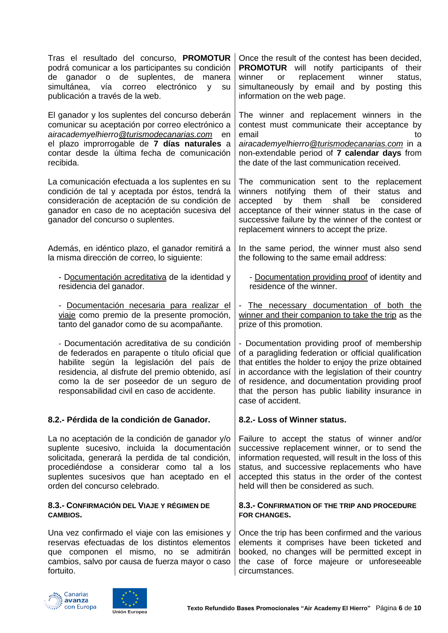| Tras el resultado del concurso, <b>PROMOTUR</b><br>podrá comunicar a los participantes su condición<br>de ganador o de suplentes,<br>de<br>manera<br>simultánea,<br>vía correo<br>electrónico<br>y<br>su<br>publicación a través de la web.                                               | Once the result of the contest has been decided,<br><b>PROMOTUR</b> will notify participants of their<br>replacement<br>winner<br>winner<br>status,<br>or<br>simultaneously by email and by posting this<br>information on the web page.                                                                                                           |
|-------------------------------------------------------------------------------------------------------------------------------------------------------------------------------------------------------------------------------------------------------------------------------------------|----------------------------------------------------------------------------------------------------------------------------------------------------------------------------------------------------------------------------------------------------------------------------------------------------------------------------------------------------|
| El ganador y los suplentes del concurso deberán<br>comunicar su aceptación por correo electrónico a<br>airacademyelhierro @turismodecanarias.com en<br>el plazo improrrogable de 7 días naturales a<br>contar desde la última fecha de comunicación<br>recibida.                          | The winner and replacement winners in the<br>contest must communicate their acceptance by<br>email<br>to<br>airacademyelhierro@turismodecanarias.com in a<br>non-extendable period of 7 calendar days from<br>the date of the last communication received.                                                                                         |
| La comunicación efectuada a los suplentes en su<br>condición de tal y aceptada por éstos, tendrá la<br>consideración de aceptación de su condición de<br>ganador en caso de no aceptación sucesiva del<br>ganador del concurso o suplentes.                                               | The communication sent to the replacement<br>winners notifying them of their status and<br>by them<br>shall<br>accepted<br>be<br>considered<br>acceptance of their winner status in the case of<br>successive failure by the winner of the contest or<br>replacement winners to accept the prize.                                                  |
| Además, en idéntico plazo, el ganador remitirá a<br>la misma dirección de correo, lo siguiente:                                                                                                                                                                                           | In the same period, the winner must also send<br>the following to the same email address:                                                                                                                                                                                                                                                          |
| - Documentación acreditativa de la identidad y<br>residencia del ganador.                                                                                                                                                                                                                 | - Documentation providing proof of identity and<br>residence of the winner.                                                                                                                                                                                                                                                                        |
| - Documentación necesaria para realizar el<br>viaje como premio de la presente promoción,<br>tanto del ganador como de su acompañante.                                                                                                                                                    | The necessary documentation of both the<br>$\overline{\phantom{0}}$<br>winner and their companion to take the trip as the<br>prize of this promotion.                                                                                                                                                                                              |
| - Documentación acreditativa de su condición<br>de federados en parapente o título oficial que<br>habilite según la legislación del país de<br>residencia, al disfrute del premio obtenido, así<br>como la de ser poseedor de un seguro de<br>responsabilidad civil en caso de accidente. | - Documentation providing proof of membership<br>of a paragliding federation or official qualification<br>that entitles the holder to enjoy the prize obtained<br>in accordance with the legislation of their country<br>of residence, and documentation providing proof<br>that the person has public liability insurance in<br>case of accident. |
| 8.2.- Pérdida de la condición de Ganador.                                                                                                                                                                                                                                                 | 8.2.- Loss of Winner status.                                                                                                                                                                                                                                                                                                                       |
| La no aceptación de la condición de ganador y/o<br>suplente sucesivo, incluida la documentación<br>solicitada, generará la perdida de tal condición,<br>procediéndose a considerar como tal a los<br>suplentes sucesivos que han aceptado en el<br>orden del concurso celebrado.          | Failure to accept the status of winner and/or<br>successive replacement winner, or to send the<br>information requested, will result in the loss of this<br>status, and successive replacements who have<br>accepted this status in the order of the contest<br>held will then be considered as such.                                              |
| 8.3.- CONFIRMACIÓN DEL VIAJE Y RÉGIMEN DE<br><b>CAMBIOS.</b>                                                                                                                                                                                                                              | 8.3.- CONFIRMATION OF THE TRIP AND PROCEDURE<br><b>FOR CHANGES.</b>                                                                                                                                                                                                                                                                                |
| Una vez confirmado el viaje con las emisiones y<br>reservas efectuadas de los distintos elementos<br>que componen el mismo, no se admitirán<br>cambios, salvo por causa de fuerza mayor o caso<br>fortuito.                                                                               | Once the trip has been confirmed and the various<br>elements it comprises have been ticketed and<br>booked, no changes will be permitted except in<br>the case of force majeure or unforeseeable<br>circumstances.                                                                                                                                 |



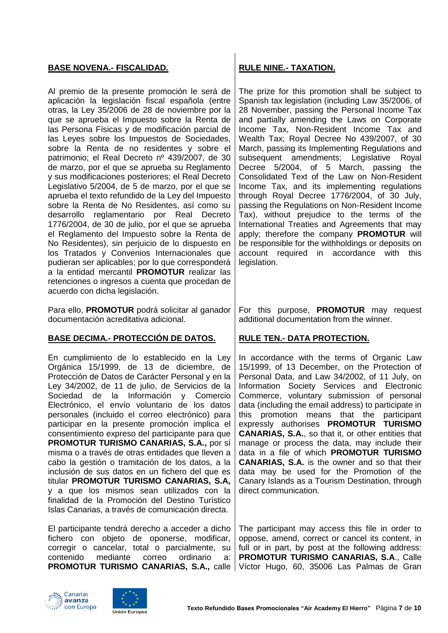## **BASE NOVENA.- FISCALIDAD. RULE NINE.- TAXATION.**

Al premio de la presente promoción le será de aplicación la legislación fiscal española (entre otras, la Ley 35/2006 de 28 de noviembre por la que se aprueba el Impuesto sobre la Renta de las Persona Físicas y de modificación parcial de las Leyes sobre los Impuestos de Sociedades, sobre la Renta de no residentes y sobre el patrimonio; el Real Decreto nº 439/2007, de 30 de marzo, por el que se aprueba su Reglamento y sus modificaciones posteriores; el Real Decreto Legislativo 5/2004, de 5 de marzo, por el que se aprueba el texto refundido de la Ley del Impuesto sobre la Renta de No Residentes, así como su desarrollo reglamentario por Real Decreto 1776/2004, de 30 de julio, por el que se aprueba el Reglamento del Impuesto sobre la Renta de No Residentes), sin perjuicio de lo dispuesto en los Tratados y Convenios Internacionales que pudieran ser aplicables; por lo que corresponderá a la entidad mercantil **PROMOTUR** realizar las retenciones o ingresos a cuenta que procedan de acuerdo con dicha legislación.

Para ello, **PROMOTUR** podrá solicitar al ganador documentación acreditativa adicional.

## **BASE DECIMA.- PROTECCIÓN DE DATOS. RULE TEN.- DATA PROTECTION.**

En cumplimiento de lo establecido en la Ley Orgánica 15/1999, de 13 de diciembre, de Protección de Datos de Carácter Personal y en la Ley 34/2002, de 11 de julio, de Servicios de la Sociedad de la Información y Comercio Electrónico, el envío voluntario de los datos personales (incluido el correo electrónico) para participar en la presente promoción implica el consentimiento expreso del participante para que **PROMOTUR TURISMO CANARIAS, S.A.,** por sí misma o a través de otras entidades que lleven a cabo la gestión o tramitación de los datos, a la inclusión de sus datos en un fichero del que es titular **PROMOTUR TURISMO CANARIAS, S.A,** y a que los mismos sean utilizados con la finalidad de la Promoción del Destino Turístico Islas Canarias, a través de comunicación directa.

El participante tendrá derecho a acceder a dicho fichero con objeto de oponerse, modificar, corregir o cancelar, total o parcialmente, su contenido mediante correo ordinario a:

The prize for this promotion shall be subject to Spanish tax legislation (including Law 35/2006, of 28 November, passing the Personal Income Tax and partially amending the Laws on Corporate Income Tax, Non-Resident Income Tax and Wealth Tax; Royal Decree No 439/2007, of 30 March, passing its Implementing Regulations and subsequent amendments; Legislative Royal Decree 5/2004, of 5 March, passing the Consolidated Text of the Law on Non-Resident Income Tax, and its implementing regulations through Royal Decree 1776/2004, of 30 July, passing the Regulations on Non-Resident Income Tax), without prejudice to the terms of the International Treaties and Agreements that may apply; therefore the company **PROMOTUR** will be responsible for the withholdings or deposits on account required in accordance with this legislation.

For this purpose, **PROMOTUR** may request additional documentation from the winner.

In accordance with the terms of Organic Law 15/1999, of 13 December, on the Protection of Personal Data, and Law 34/2002, of 11 July, on Information Society Services and Electronic Commerce, voluntary submission of personal data (including the email address) to participate in this promotion means that the participant expressly authorises **PROMOTUR TURISMO CANARIAS, S.A.**, so that it, or other entities that manage or process the data, may include their data in a file of which **PROMOTUR TURISMO CANARIAS, S.A.** is the owner and so that their data may be used for the Promotion of the Canary Islands as a Tourism Destination, through direct communication.

**PROMOTUR TURISMO CANARIAS, S.A., calle** | Víctor Hugo, 60, 35006 Las Palmas de Gran The participant may access this file in order to oppose, amend, correct or cancel its content, in full or in part, by post at the following address: **PROMOTUR TURISMO CANARIAS, S.A**., Calle



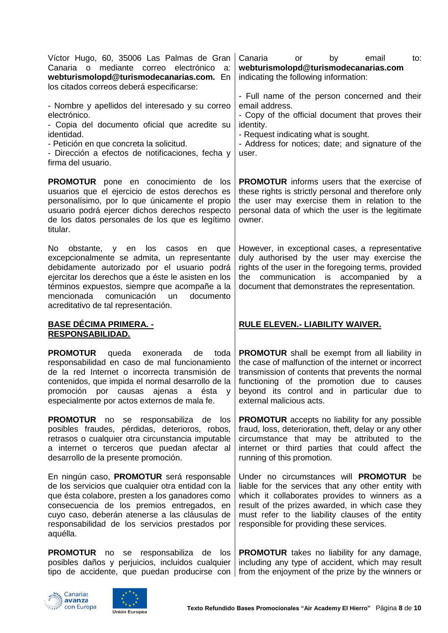| Víctor Hugo, 60, 35006 Las Palmas de Gran<br>Canaria o mediante correo electrónico<br>a:<br>webturismolopd@turismodecanarias.com. En<br>los citados correos deberá especificarse:                                                                                                                                                                 | Canaria<br>by<br>email<br>to:<br>or<br>webturismolopd@turismodecanarias.com<br>indicating the following information:                                                                                                                                                                                         |
|---------------------------------------------------------------------------------------------------------------------------------------------------------------------------------------------------------------------------------------------------------------------------------------------------------------------------------------------------|--------------------------------------------------------------------------------------------------------------------------------------------------------------------------------------------------------------------------------------------------------------------------------------------------------------|
| - Nombre y apellidos del interesado y su correo<br>electrónico.<br>- Copia del documento oficial que acredite su<br>identidad.<br>- Petición en que concreta la solicitud.<br>- Dirección a efectos de notificaciones, fecha y<br>firma del usuario.                                                                                              | - Full name of the person concerned and their<br>email address.<br>- Copy of the official document that proves their<br>identity.<br>- Request indicating what is sought.<br>- Address for notices; date; and signature of the<br>user.                                                                      |
| <b>PROMOTUR</b> pone en conocimiento de los<br>usuarios que el ejercicio de estos derechos es<br>personalísimo, por lo que únicamente el propio<br>usuario podrá ejercer dichos derechos respecto<br>de los datos personales de los que es legítimo<br>titular.                                                                                   | <b>PROMOTUR</b> informs users that the exercise of<br>these rights is strictly personal and therefore only<br>the user may exercise them in relation to the<br>personal data of which the user is the legitimate<br>owner.                                                                                   |
| No<br>obstante, y en los<br>casos<br>en<br>que<br>excepcionalmente se admita, un representante<br>debidamente autorizado por el usuario podrá<br>ejercitar los derechos que a éste le asisten en los<br>términos expuestos, siempre que acompañe a la<br>mencionada comunicación<br><b>un</b><br>documento<br>acreditativo de tal representación. | However, in exceptional cases, a representative<br>duly authorised by the user may exercise the<br>rights of the user in the foregoing terms, provided<br>the communication is accompanied<br>by a<br>document that demonstrates the representation.                                                         |
|                                                                                                                                                                                                                                                                                                                                                   |                                                                                                                                                                                                                                                                                                              |
| <u> BASE DÉCIMA PRIMERA. -</u><br><u>RESPONSABILIDAD.</u>                                                                                                                                                                                                                                                                                         | <b>RULE ELEVEN.- LIABILITY WAIVER.</b>                                                                                                                                                                                                                                                                       |
| <b>PROMOTUR</b><br>queda<br>exonerada<br>toda<br>de<br>responsabilidad en caso de mal funcionamiento<br>de la red Internet o incorrecta transmisión de<br>contenidos, que impida el normal desarrollo de la<br>promoción por causas ajenas a ésta<br>V<br>especialmente por actos externos de mala fe.                                            | <b>PROMOTUR</b> shall be exempt from all liability in<br>the case of malfunction of the internet or incorrect<br>transmission of contents that prevents the normal<br>functioning of the promotion due to causes<br>beyond its control and in particular due to<br>external malicious acts.                  |
| <b>PROMOTUR</b> no se responsabiliza de<br>los<br>posibles fraudes, pérdidas, deterioros, robos,<br>retrasos o cualquier otra circunstancia imputable<br>a internet o terceros que puedan afectar al<br>desarrollo de la presente promoción.                                                                                                      | <b>PROMOTUR</b> accepts no liability for any possible<br>fraud, loss, deterioration, theft, delay or any other<br>circumstance that may be attributed to the<br>internet or third parties that could affect the<br>running of this promotion.                                                                |
| En ningún caso, <b>PROMOTUR</b> será responsable<br>de los servicios que cualquier otra entidad con la<br>que ésta colabore, presten a los ganadores como<br>consecuencia de los premios entregados, en<br>cuyo caso, deberán atenerse a las cláusulas de<br>responsabilidad de los servicios prestados por<br>aquélla.                           | Under no circumstances will <b>PROMOTUR</b> be<br>liable for the services that any other entity with<br>which it collaborates provides to winners as a<br>result of the prizes awarded, in which case they<br>must refer to the liability clauses of the entity<br>responsible for providing these services. |



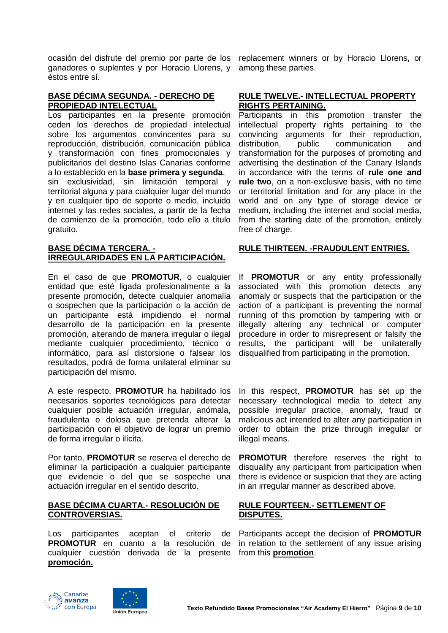ocasión del disfrute del premio por parte de los ganadores o suplentes y por Horacio Llorens, y éstos entre sí.

## **BASE DÉCIMA SEGUNDA. - DERECHO DE PROPIEDAD INTELECTUAL**

Los participantes en la presente promoción ceden los derechos de propiedad intelectual sobre los argumentos convincentes para su reproducción, distribución, comunicación pública y transformación con fines promocionales y publicitarios del destino Islas Canarias conforme a lo establecido en la **base primera y segunda**, sin exclusividad, sin limitación temporal y territorial alguna y para cualquier lugar del mundo y en cualquier tipo de soporte o medio, incluido internet y las redes sociales, a partir de la fecha de comienzo de la promoción, todo ello a título gratuito.

## **BASE DÉCIMA TERCERA. - IRREGULARIDADES EN LA PARTICIPACIÓN.**

En el caso de que **PROMOTUR**, o cualquier entidad que esté ligada profesionalmente a la presente promoción, detecte cualquier anomalía o sospechen que la participación o la acción de un participante está impidiendo el normal desarrollo de la participación en la presente promoción, alterando de manera irregular o ilegal mediante cualquier procedimiento, técnico o informático, para así distorsione o falsear los resultados, podrá de forma unilateral eliminar su participación del mismo.

A este respecto, **PROMOTUR** ha habilitado los necesarios soportes tecnológicos para detectar cualquier posible actuación irregular, anómala, fraudulenta o dolosa que pretenda alterar la participación con el objetivo de lograr un premio de forma irregular o ilícita.

Por tanto, **PROMOTUR** se reserva el derecho de eliminar la participación a cualquier participante que evidencie o del que se sospeche una actuación irregular en el sentido descrito.

## **BASE DÉCIMA CUARTA.- RESOLUCIÓN DE CONTROVERSIAS.**

Los participantes aceptan el criterio de **PROMOTUR** en cuanto a la resolución de cualquier cuestión derivada de la presente **promoción.**

replacement winners or by Horacio Llorens, or among these parties.

## **RULE TWELVE.- INTELLECTUAL PROPERTY RIGHTS PERTAINING.**

Participants in this promotion transfer the intellectual property rights pertaining to the convincing arguments for their reproduction, distribution, public communication and transformation for the purposes of promoting and advertising the destination of the Canary Islands in accordance with the terms of **rule one and rule two**, on a non-exclusive basis, with no time or territorial limitation and for any place in the world and on any type of storage device or medium, including the internet and social media, from the starting date of the promotion, entirely free of charge.

# **RULE THIRTEEN. -FRAUDULENT ENTRIES.**

If **PROMOTUR** or any entity professionally associated with this promotion detects any anomaly or suspects that the participation or the action of a participant is preventing the normal running of this promotion by tampering with or illegally altering any technical or computer procedure in order to misrepresent or falsify the results, the participant will be unilaterally disqualified from participating in the promotion.

In this respect, **PROMOTUR** has set up the necessary technological media to detect any possible irregular practice, anomaly, fraud or malicious act intended to alter any participation in order to obtain the prize through irregular or illegal means.

**PROMOTUR** therefore reserves the right to disqualify any participant from participation when there is evidence or suspicion that they are acting in an irregular manner as described above.

## **RULE FOURTEEN.- SETTLEMENT OF DISPUTES.**

Participants accept the decision of **PROMOTUR** in relation to the settlement of any issue arising from this **promotion**.